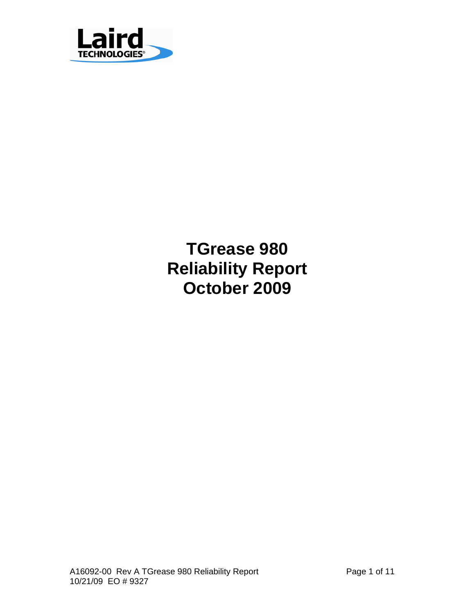

**TGrease 980 Reliability Report October 2009**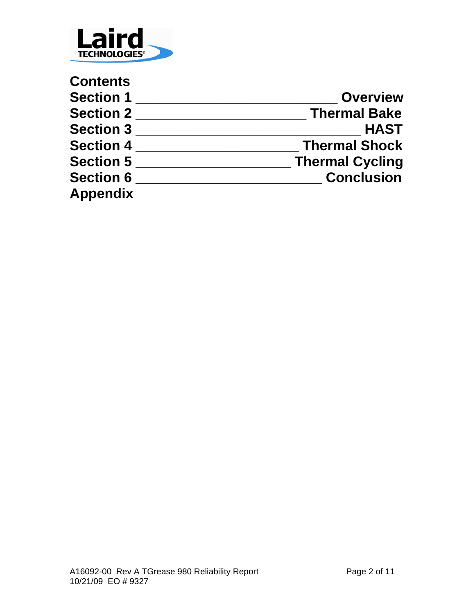

| <b>Contents</b>  |                        |
|------------------|------------------------|
| <b>Section 1</b> | <b>Overview</b>        |
| <b>Section 2</b> | <b>Thermal Bake</b>    |
| <b>Section 3</b> | <b>HAST</b>            |
| <b>Section 4</b> | <b>Thermal Shock</b>   |
| <b>Section 5</b> | <b>Thermal Cycling</b> |
| <b>Section 6</b> | <b>Conclusion</b>      |
| <b>Appendix</b>  |                        |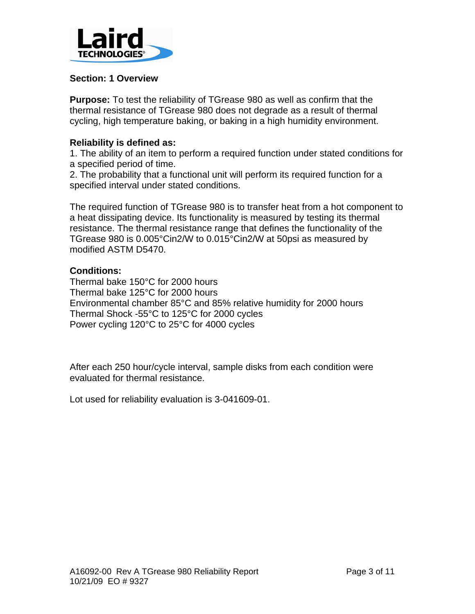

### **Section: 1 Overview**

**Purpose:** To test the reliability of TGrease 980 as well as confirm that the thermal resistance of TGrease 980 does not degrade as a result of thermal cycling, high temperature baking, or baking in a high humidity environment.

### **Reliability is defined as:**

1. The ability of an item to perform a required function under stated conditions for a specified period of time.

2. The probability that a functional unit will perform its required function for a specified interval under stated conditions.

The required function of TGrease 980 is to transfer heat from a hot component to a heat dissipating device. Its functionality is measured by testing its thermal resistance. The thermal resistance range that defines the functionality of the TGrease 980 is 0.005°Cin2/W to 0.015°Cin2/W at 50psi as measured by modified ASTM D5470.

### **Conditions:**

Thermal bake 150°C for 2000 hours Thermal bake 125°C for 2000 hours Environmental chamber 85°C and 85% relative humidity for 2000 hours Thermal Shock -55°C to 125°C for 2000 cycles Power cycling 120°C to 25°C for 4000 cycles

After each 250 hour/cycle interval, sample disks from each condition were evaluated for thermal resistance.

Lot used for reliability evaluation is 3-041609-01.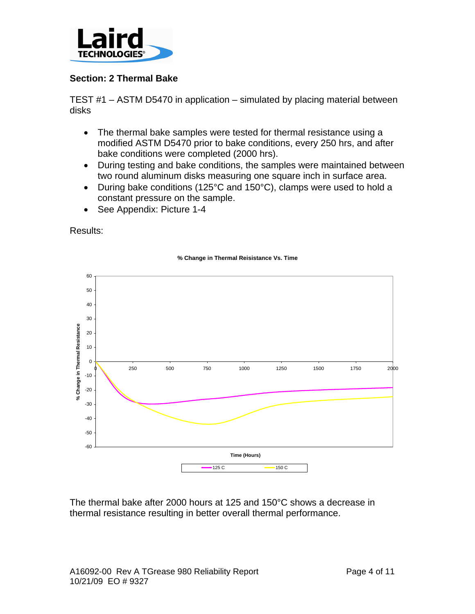

## **Section: 2 Thermal Bake**

TEST #1 – ASTM D5470 in application – simulated by placing material between disks

- The thermal bake samples were tested for thermal resistance using a modified ASTM D5470 prior to bake conditions, every 250 hrs, and after bake conditions were completed (2000 hrs).
- During testing and bake conditions, the samples were maintained between two round aluminum disks measuring one square inch in surface area.
- During bake conditions (125°C and 150°C), clamps were used to hold a constant pressure on the sample.
- See Appendix: Picture 1-4

Results:



### **% Change in Thermal Reisistance Vs. Time**

The thermal bake after 2000 hours at 125 and 150°C shows a decrease in thermal resistance resulting in better overall thermal performance.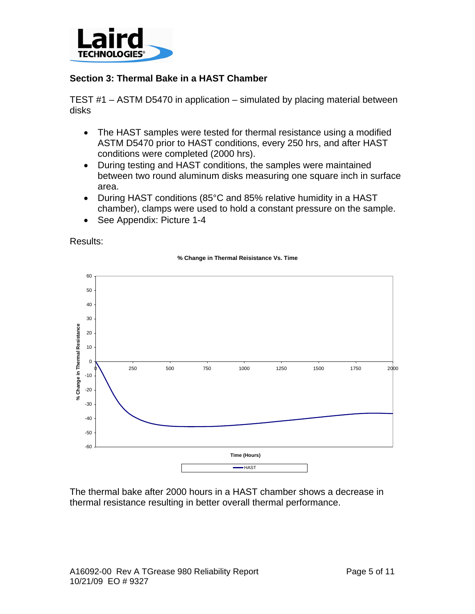

### **Section 3: Thermal Bake in a HAST Chamber**

TEST #1 – ASTM D5470 in application – simulated by placing material between disks

- The HAST samples were tested for thermal resistance using a modified ASTM D5470 prior to HAST conditions, every 250 hrs, and after HAST conditions were completed (2000 hrs).
- During testing and HAST conditions, the samples were maintained between two round aluminum disks measuring one square inch in surface area.
- During HAST conditions (85°C and 85% relative humidity in a HAST chamber), clamps were used to hold a constant pressure on the sample.
- See Appendix: Picture 1-4

Results:



#### **% Change in Thermal Reisistance Vs. Time**

The thermal bake after 2000 hours in a HAST chamber shows a decrease in thermal resistance resulting in better overall thermal performance.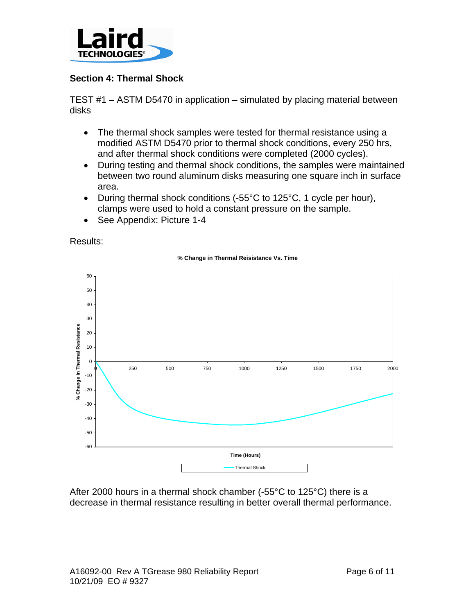

## **Section 4: Thermal Shock**

TEST #1 – ASTM D5470 in application – simulated by placing material between disks

- The thermal shock samples were tested for thermal resistance using a modified ASTM D5470 prior to thermal shock conditions, every 250 hrs, and after thermal shock conditions were completed (2000 cycles).
- During testing and thermal shock conditions, the samples were maintained between two round aluminum disks measuring one square inch in surface area.
- During thermal shock conditions (-55°C to 125°C, 1 cycle per hour), clamps were used to hold a constant pressure on the sample.
- See Appendix: Picture 1-4

Results:



#### **% Change in Thermal Reisistance Vs. Time**

After 2000 hours in a thermal shock chamber (-55°C to 125°C) there is a decrease in thermal resistance resulting in better overall thermal performance.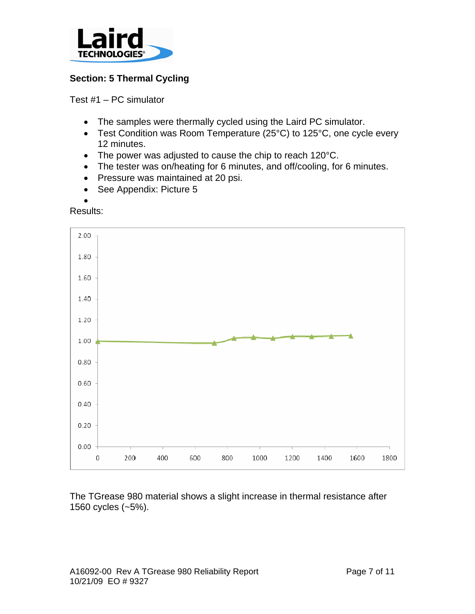

# **Section: 5 Thermal Cycling**

Test #1 – PC simulator

- The samples were thermally cycled using the Laird PC simulator.
- Test Condition was Room Temperature (25°C) to 125°C, one cycle every 12 minutes.
- The power was adjusted to cause the chip to reach 120°C.
- The tester was on/heating for 6 minutes, and off/cooling, for 6 minutes.
- Pressure was maintained at 20 psi.
- See Appendix: Picture 5
- •

Results:



The TGrease 980 material shows a slight increase in thermal resistance after 1560 cycles (~5%).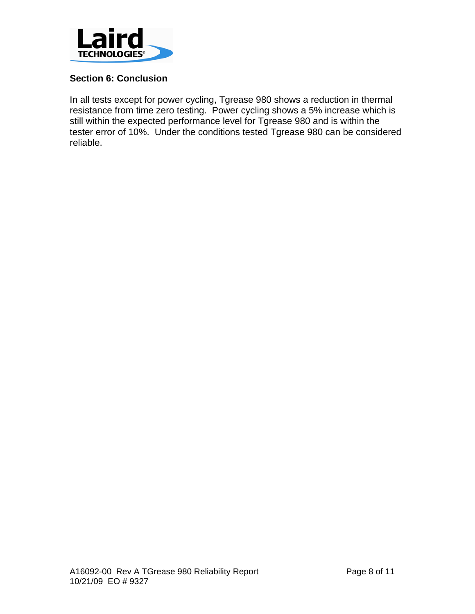

## **Section 6: Conclusion**

In all tests except for power cycling, Tgrease 980 shows a reduction in thermal resistance from time zero testing. Power cycling shows a 5% increase which is still within the expected performance level for Tgrease 980 and is within the tester error of 10%. Under the conditions tested Tgrease 980 can be considered reliable.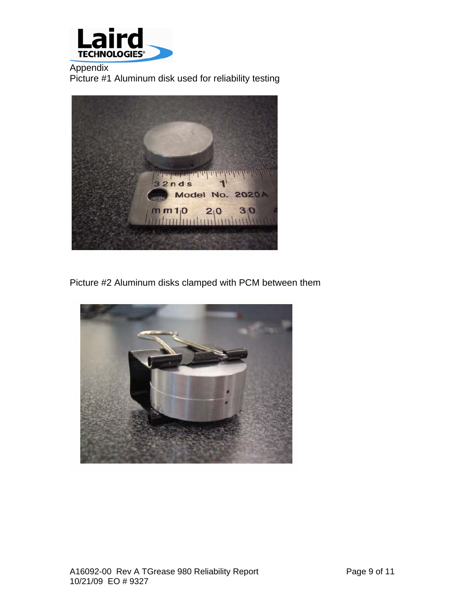

Appendix Picture #1 Aluminum disk used for reliability testing



Picture #2 Aluminum disks clamped with PCM between them

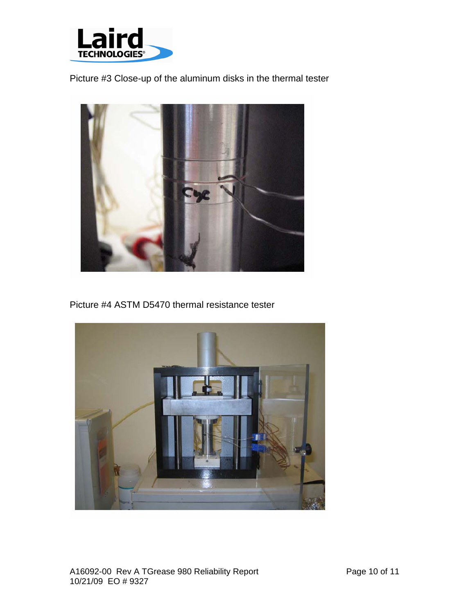

Picture #3 Close-up of the aluminum disks in the thermal tester



Picture #4 ASTM D5470 thermal resistance tester